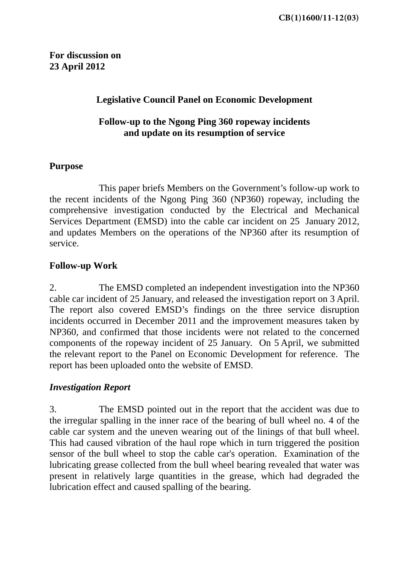# **Legislative Council Panel on Economic Development**

# **Follow-up to the Ngong Ping 360 ropeway incidents and update on its resumption of service**

# **Purpose**

 This paper briefs Members on the Government's follow-up work to the recent incidents of the Ngong Ping 360 (NP360) ropeway, including the comprehensive investigation conducted by the Electrical and Mechanical Services Department (EMSD) into the cable car incident on 25 January 2012, and updates Members on the operations of the NP360 after its resumption of service.

# **Follow-up Work**

2. The EMSD completed an independent investigation into the NP360 cable car incident of 25 January, and released the investigation report on 3 April. The report also covered EMSD's findings on the three service disruption incidents occurred in December 2011 and the improvement measures taken by NP360, and confirmed that those incidents were not related to the concerned components of the ropeway incident of 25 January. On 5 April, we submitted the relevant report to the Panel on Economic Development for reference. The report has been uploaded onto the website of EMSD.

### *Investigation Report*

3. The EMSD pointed out in the report that the accident was due to the irregular spalling in the inner race of the bearing of bull wheel no. 4 of the cable car system and the uneven wearing out of the linings of that bull wheel. This had caused vibration of the haul rope which in turn triggered the position sensor of the bull wheel to stop the cable car's operation. Examination of the lubricating grease collected from the bull wheel bearing revealed that water was present in relatively large quantities in the grease, which had degraded the lubrication effect and caused spalling of the bearing.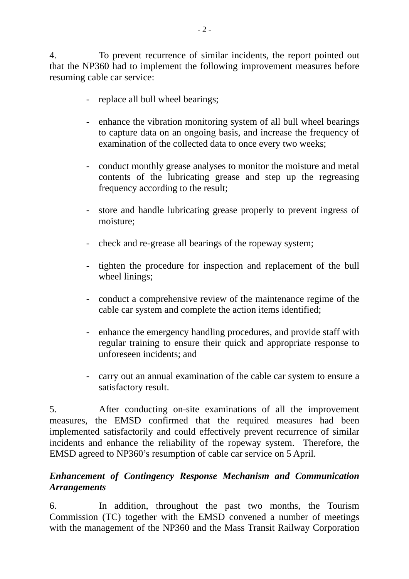4. To prevent recurrence of similar incidents, the report pointed out that the NP360 had to implement the following improvement measures before resuming cable car service:

- replace all bull wheel bearings;
- enhance the vibration monitoring system of all bull wheel bearings to capture data on an ongoing basis, and increase the frequency of examination of the collected data to once every two weeks;
- conduct monthly grease analyses to monitor the moisture and metal contents of the lubricating grease and step up the regreasing frequency according to the result;
- store and handle lubricating grease properly to prevent ingress of moisture;
- check and re-grease all bearings of the ropeway system;
- tighten the procedure for inspection and replacement of the bull wheel linings;
- conduct a comprehensive review of the maintenance regime of the cable car system and complete the action items identified;
- enhance the emergency handling procedures, and provide staff with regular training to ensure their quick and appropriate response to unforeseen incidents; and
- carry out an annual examination of the cable car system to ensure a satisfactory result.

5. After conducting on-site examinations of all the improvement measures, the EMSD confirmed that the required measures had been implemented satisfactorily and could effectively prevent recurrence of similar incidents and enhance the reliability of the ropeway system. Therefore, the EMSD agreed to NP360's resumption of cable car service on 5 April.

# *Enhancement of Contingency Response Mechanism and Communication Arrangements*

6. In addition, throughout the past two months, the Tourism Commission (TC) together with the EMSD convened a number of meetings with the management of the NP360 and the Mass Transit Railway Corporation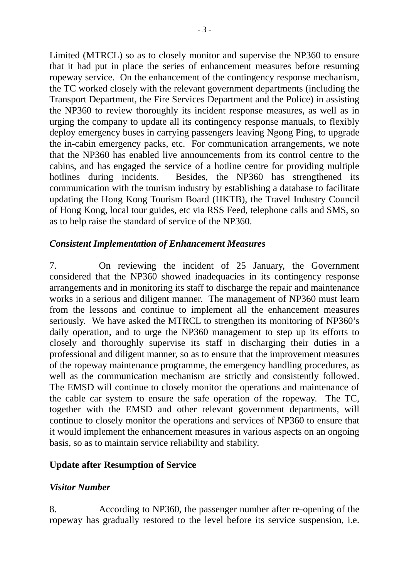Limited (MTRCL) so as to closely monitor and supervise the NP360 to ensure that it had put in place the series of enhancement measures before resuming ropeway service. On the enhancement of the contingency response mechanism, the TC worked closely with the relevant government departments (including the Transport Department, the Fire Services Department and the Police) in assisting the NP360 to review thoroughly its incident response measures, as well as in urging the company to update all its contingency response manuals, to flexibly deploy emergency buses in carrying passengers leaving Ngong Ping, to upgrade the in-cabin emergency packs, etc. For communication arrangements, we note that the NP360 has enabled live announcements from its control centre to the cabins, and has engaged the service of a hotline centre for providing multiple hotlines during incidents. Besides, the NP360 has strengthened its communication with the tourism industry by establishing a database to facilitate updating the Hong Kong Tourism Board (HKTB), the Travel Industry Council of Hong Kong, local tour guides, etc via RSS Feed, telephone calls and SMS, so as to help raise the standard of service of the NP360.

### *Consistent Implementation of Enhancement Measures*

7. On reviewing the incident of 25 January, the Government considered that the NP360 showed inadequacies in its contingency response arrangements and in monitoring its staff to discharge the repair and maintenance works in a serious and diligent manner. The management of NP360 must learn from the lessons and continue to implement all the enhancement measures seriously. We have asked the MTRCL to strengthen its monitoring of NP360's daily operation, and to urge the NP360 management to step up its efforts to closely and thoroughly supervise its staff in discharging their duties in a professional and diligent manner, so as to ensure that the improvement measures of the ropeway maintenance programme, the emergency handling procedures, as well as the communication mechanism are strictly and consistently followed. The EMSD will continue to closely monitor the operations and maintenance of the cable car system to ensure the safe operation of the ropeway. The TC, together with the EMSD and other relevant government departments, will continue to closely monitor the operations and services of NP360 to ensure that it would implement the enhancement measures in various aspects on an ongoing basis, so as to maintain service reliability and stability.

#### **Update after Resumption of Service**

#### *Visitor Number*

8. According to NP360, the passenger number after re-opening of the ropeway has gradually restored to the level before its service suspension, i.e.